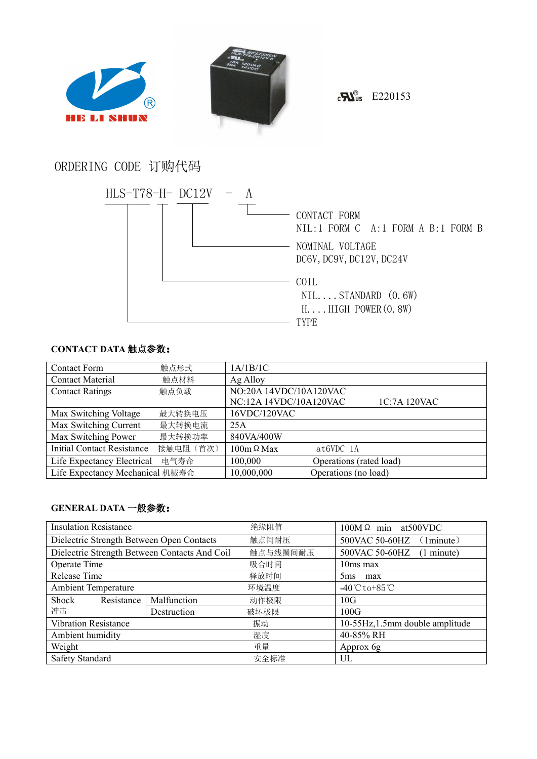



 $\epsilon$ <sub>D</sub> $\epsilon$ <sub>D</sub> $\epsilon$ <sub>E220153</sub>

# ORDERING CODE 订购代码



# **CONTACT DATA** 触点参数:

| <b>Contact Form</b>               | 触点形式      | 1A/1B/1C                               |
|-----------------------------------|-----------|----------------------------------------|
| <b>Contact Material</b>           | 触点材料      | Ag Alloy                               |
| <b>Contact Ratings</b>            | 触点负载      | NO:20A 14VDC/10A120VAC                 |
|                                   |           | NC:12A 14VDC/10A120VAC<br>1C:7A 120VAC |
| Max Switching Voltage             | 最大转换电压    | 16VDC/120VAC                           |
| Max Switching Current             | 最大转换电流    | 25A                                    |
| Max Switching Power               | 最大转换功率    | 840VA/400W                             |
| <b>Initial Contact Resistance</b> | 接触电阻 (首次) | $100m \Omega$ Max<br>$at6VDC$ 1A       |
| Life Expectancy Electrical        | 电气寿命      | 100,000<br>Operations (rated load)     |
| Life Expectancy Mechanical 机械寿命   |           | 10,000,000<br>Operations (no load)     |

### **GENERAL DATA** 一般参数:

| <b>Insulation Resistance</b>                  |             | 绝缘阻值     | $100M\Omega$ min at 500 VDC         |  |
|-----------------------------------------------|-------------|----------|-------------------------------------|--|
| Dielectric Strength Between Open Contacts     |             | 触点间耐压    | 500VAC 50-60HZ<br>1minute)          |  |
| Dielectric Strength Between Contacts And Coil |             | 触点与线圈间耐压 | 500VAC 50-60HZ<br>(1 minute)        |  |
| Operate Time                                  |             | 吸合时间     | 10ms max                            |  |
| Release Time                                  |             | 释放时间     | 5 <sub>ms</sub><br>max              |  |
| <b>Ambient Temperature</b>                    |             | 环境温度     | $-40^{\circ}$ C to +85 $^{\circ}$ C |  |
| Shock<br>Resistance                           | Malfunction | 动作极限     | 10G                                 |  |
| 冲击                                            | Destruction | 破坏极限     | 100G                                |  |
| <b>Vibration Resistance</b>                   |             | 振动       | 10-55Hz, 1.5mm double amplitude     |  |
| Ambient humidity                              |             | 湿度       | 40-85% RH                           |  |
| Weight<br>重量                                  |             |          | Approx 6g                           |  |
| <b>Safety Standard</b>                        |             | 安全标准     | UL                                  |  |